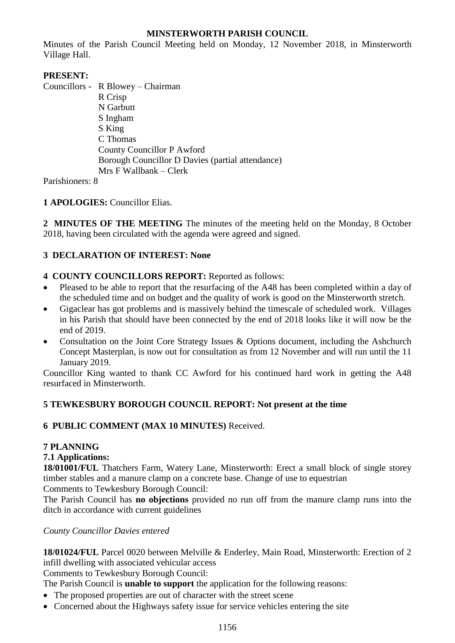# **MINSTERWORTH PARISH COUNCIL**

Minutes of the Parish Council Meeting held on Monday, 12 November 2018, in Minsterworth Village Hall.

# **PRESENT:**

Councillors - R Blowey – Chairman R Crisp N Garbutt S Ingham S King C Thomas County Councillor P Awford Borough Councillor D Davies (partial attendance) Mrs F Wallbank – Clerk

Parishioners: 8

# **1 APOLOGIES:** Councillor Elias.

**2 MINUTES OF THE MEETING** The minutes of the meeting held on the Monday, 8 October 2018, having been circulated with the agenda were agreed and signed.

# **3 DECLARATION OF INTEREST: None**

# **4 COUNTY COUNCILLORS REPORT:** Reported as follows:

- Pleased to be able to report that the resurfacing of the A48 has been completed within a day of the scheduled time and on budget and the quality of work is good on the Minsterworth stretch.
- Gigaclear has got problems and is massively behind the timescale of scheduled work. Villages in his Parish that should have been connected by the end of 2018 looks like it will now be the end of 2019.
- Consultation on the Joint Core Strategy Issues  $\&$  Options document, including the Ashchurch Concept Masterplan, is now out for consultation as from 12 November and will run until the 11 January 2019.

Councillor King wanted to thank CC Awford for his continued hard work in getting the A48 resurfaced in Minsterworth.

# **5 TEWKESBURY BOROUGH COUNCIL REPORT: Not present at the time**

### **6 PUBLIC COMMENT (MAX 10 MINUTES)** Received.

# **7 PLANNING**

### **7.1 Applications:**

**18/01001/FUL** Thatchers Farm, Watery Lane, Minsterworth: Erect a small block of single storey timber stables and a manure clamp on a concrete base. Change of use to equestrian Comments to Tewkesbury Borough Council:

The Parish Council has **no objections** provided no run off from the manure clamp runs into the ditch in accordance with current guidelines

### *County Councillor Davies entered*

**18/01024/FUL** Parcel 0020 between Melville & Enderley, Main Road, Minsterworth: Erection of 2 infill dwelling with associated vehicular access

Comments to Tewkesbury Borough Council:

The Parish Council is **unable to support** the application for the following reasons:

- The proposed properties are out of character with the street scene
- Concerned about the Highways safety issue for service vehicles entering the site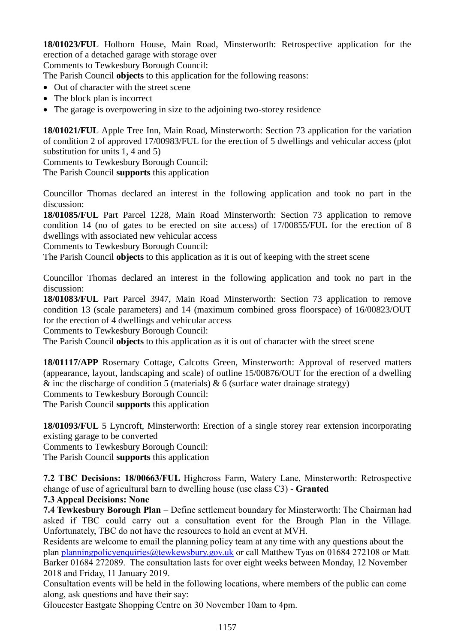**18/01023/FUL** Holborn House, Main Road, Minsterworth: Retrospective application for the erection of a detached garage with storage over

Comments to Tewkesbury Borough Council:

The Parish Council **objects** to this application for the following reasons:

- Out of character with the street scene
- The block plan is incorrect
- The garage is overpowering in size to the adjoining two-storey residence

**18/01021/FUL** Apple Tree Inn, Main Road, Minsterworth: Section 73 application for the variation of condition 2 of approved 17/00983/FUL for the erection of 5 dwellings and vehicular access (plot substitution for units 1, 4 and 5)

Comments to Tewkesbury Borough Council:

The Parish Council **supports** this application

Councillor Thomas declared an interest in the following application and took no part in the discussion:

**18/01085/FUL** Part Parcel 1228, Main Road Minsterworth: Section 73 application to remove condition 14 (no of gates to be erected on site access) of 17/00855/FUL for the erection of 8 dwellings with associated new vehicular access

Comments to Tewkesbury Borough Council:

The Parish Council **objects** to this application as it is out of keeping with the street scene

Councillor Thomas declared an interest in the following application and took no part in the discussion:

**18/01083/FUL** Part Parcel 3947, Main Road Minsterworth: Section 73 application to remove condition 13 (scale parameters) and 14 (maximum combined gross floorspace) of 16/00823/OUT for the erection of 4 dwellings and vehicular access

Comments to Tewkesbury Borough Council:

The Parish Council **objects** to this application as it is out of character with the street scene

**18/01117/APP** Rosemary Cottage, Calcotts Green, Minsterworth: Approval of reserved matters (appearance, layout, landscaping and scale) of outline 15/00876/OUT for the erection of a dwelling  $\&$  inc the discharge of condition 5 (materials)  $\&$  6 (surface water drainage strategy)

Comments to Tewkesbury Borough Council:

The Parish Council **supports** this application

**18/01093/FUL** 5 Lyncroft, Minsterworth: Erection of a single storey rear extension incorporating existing garage to be converted

Comments to Tewkesbury Borough Council:

The Parish Council **supports** this application

**7.2 TBC Decisions: 18/00663/FUL** Highcross Farm, Watery Lane, Minsterworth: Retrospective change of use of agricultural barn to dwelling house (use class C3) - **Granted**

### **7.3 Appeal Decisions: None**

**7.4 Tewkesbury Borough Plan** – Define settlement boundary for Minsterworth: The Chairman had asked if TBC could carry out a consultation event for the Brough Plan in the Village. Unfortunately, TBC do not have the resources to hold an event at MVH.

Residents are welcome to email the planning policy team at any time with any questions about the plan [planningpolicyenquiries@tewkewsbury.gov.uk](mailto:planningpolicyenquiries@tewkewsbury.gov.uk) or call Matthew Tyas on 01684 272108 or Matt Barker 01684 272089. The consultation lasts for over eight weeks between Monday, 12 November 2018 and Friday, 11 January 2019.

Consultation events will be held in the following locations, where members of the public can come along, ask questions and have their say:

Gloucester Eastgate Shopping Centre on 30 November 10am to 4pm.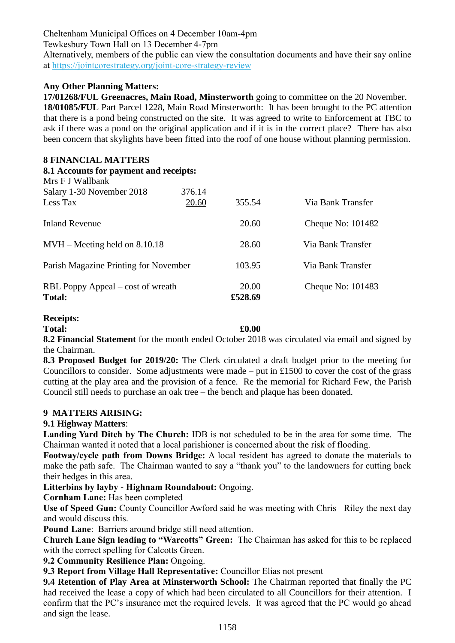Cheltenham Municipal Offices on 4 December 10am-4pm

Tewkesbury Town Hall on 13 December 4-7pm

Alternatively, members of the public can view the consultation documents and have their say online at [https://jointcorestrategy.org/joint-core-strategy-review](https://tewkesbury.us13.list-manage.com/track/click?u=5e78767df423514903b7a2d34&id=3666b81690&e=2812d4e2a5)

# **Any Other Planning Matters:**

**17/01268/FUL Greenacres, Main Road, Minsterworth** going to committee on the 20 November. **18/01085/FUL** Part Parcel 1228, Main Road Minsterworth: It has been brought to the PC attention that there is a pond being constructed on the site. It was agreed to write to Enforcement at TBC to ask if there was a pond on the original application and if it is in the correct place? There has also been concern that skylights have been fitted into the roof of one house without planning permission.

# **8 FINANCIAL MATTERS**

| 8.1 Accounts for payment and receipts:<br>Mrs F J Wallbank |                 |                  |                     |
|------------------------------------------------------------|-----------------|------------------|---------------------|
| Salary 1-30 November 2018<br>Less Tax                      | 376.14<br>20.60 | 355.54           | Via Bank Transfer   |
| <b>Inland Revenue</b>                                      |                 | 20.60            | Cheque No: $101482$ |
| $MVH - Meeting$ held on 8.10.18                            |                 | 28.60            | Via Bank Transfer   |
| Parish Magazine Printing for November                      |                 | 103.95           | Via Bank Transfer   |
| RBL Poppy Appeal – cost of wreath<br><b>Total:</b>         |                 | 20.00<br>£528.69 | Cheque No: $101483$ |

### **Receipts:**

**Total: £0.00**

**8.2 Financial Statement** for the month ended October 2018 was circulated via email and signed by the Chairman.

**8.3 Proposed Budget for 2019/20:** The Clerk circulated a draft budget prior to the meeting for Councillors to consider. Some adjustments were made – put in £1500 to cover the cost of the grass cutting at the play area and the provision of a fence. Re the memorial for Richard Few, the Parish Council still needs to purchase an oak tree – the bench and plaque has been donated.

### **9 MATTERS ARISING:**

# **9.1 Highway Matters**:

Landing Yard Ditch by The Church: **IDB** is not scheduled to be in the area for some time. The Chairman wanted it noted that a local parishioner is concerned about the risk of flooding.

**Footway/cycle path from Downs Bridge:** A local resident has agreed to donate the materials to make the path safe. The Chairman wanted to say a "thank you" to the landowners for cutting back their hedges in this area.

**Litterbins by layby - Highnam Roundabout:** Ongoing.

**Cornham Lane:** Has been completed

**Use of Speed Gun:** County Councillor Awford said he was meeting with Chris Riley the next day and would discuss this.

**Pound Lane**: Barriers around bridge still need attention.

**Church Lane Sign leading to "Warcotts" Green:** The Chairman has asked for this to be replaced with the correct spelling for Calcotts Green.

**9.2 Community Resilience Plan:** Ongoing.

**9.3 Report from Village Hall Representative:** Councillor Elias not present

**9.4 Retention of Play Area at Minsterworth School:** The Chairman reported that finally the PC had received the lease a copy of which had been circulated to all Councillors for their attention. I confirm that the PC's insurance met the required levels. It was agreed that the PC would go ahead and sign the lease.